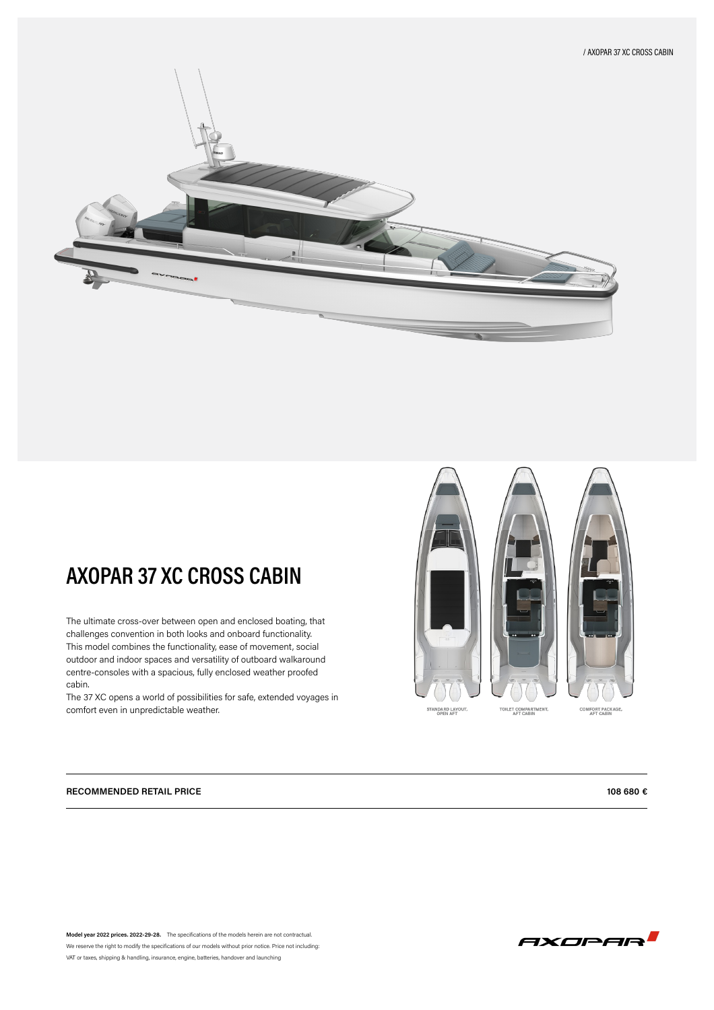

# **AXOPAR 37 XC CROSS CABIN**

The ultimate cross-over between open and enclosed boating, that challenges convention in both looks and onboard functionality. This model combines the functionality, ease of movement, social outdoor and indoor spaces and versatility of outboard walkaround centre-consoles with a spacious, fully enclosed weather proofed cabin.

The 37 XC opens a world of possibilities for safe, extended voyages in comfort even in unpredictable weather.



#### **RECOMMENDED RETAIL PRICE 108 680 €**

**Model year 2022 prices. 2022-29-28.** The specifications of the models herein are not contractual. We reserve the right to modify the specifications of our models without prior notice. Price not including: VAT or taxes, shipping & handling, insurance, engine, batteries, handover and launching

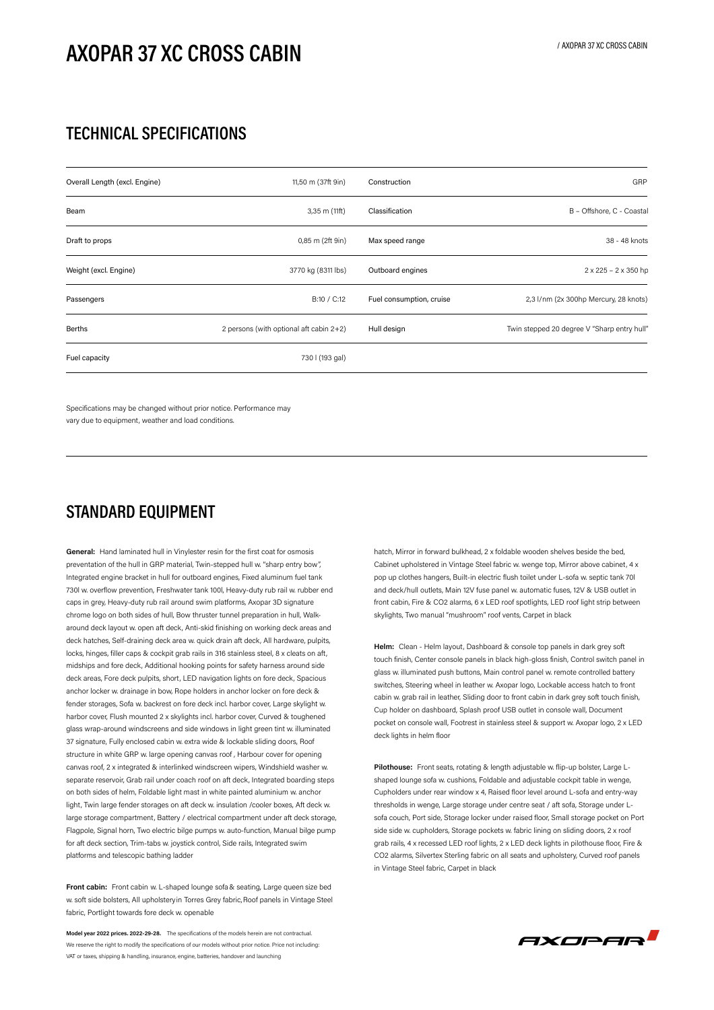# **TECHNICAL SPECIFICATIONS**

| Overall Length (excl. Engine) | 11,50 m (37ft 9in)                      | Construction             | GRP                                         |
|-------------------------------|-----------------------------------------|--------------------------|---------------------------------------------|
| Beam                          | $3,35$ m $(11ft)$                       | Classification           | B - Offshore, C - Coastal                   |
| Draft to props                | 0,85 m (2ft 9in)                        | Max speed range          | 38 - 48 knots                               |
| Weight (excl. Engine)         | 3770 kg (8311 lbs)                      | Outboard engines         | $2 \times 225 - 2 \times 350$ hp            |
| Passengers                    | B:10 / C:12                             | Fuel consumption, cruise | 2,3 l/nm (2x 300hp Mercury, 28 knots)       |
| <b>Berths</b>                 | 2 persons (with optional aft cabin 2+2) | Hull design              | Twin stepped 20 degree V "Sharp entry hull" |
| Fuel capacity                 | 730 l (193 gal)                         |                          |                                             |

Specifications may be changed without prior notice. Performance may vary due to equipment, weather and load conditions.

# **STANDARD EQUIPMENT**

**General:** Hand laminated hull in Vinylester resin for the first coat for osmosis preventation of the hull in GRP material, Twin-stepped hull w. "sharp entry bow", Integrated engine bracket in hull for outboard engines, Fixed aluminum fuel tank 730l w. overflow prevention, Freshwater tank 100l, Heavy-duty rub rail w. rubber end caps in grey, Heavy-duty rub rail around swim platforms, Axopar 3D signature chrome logo on both sides of hull, Bow thruster tunnel preparation in hull, Walkaround deck layout w. open aft deck, Anti-skid finishing on working deck areas and deck hatches, Self-draining deck area w. quick drain aft deck, All hardware, pulpits, locks, hinges, filler caps & cockpit grab rails in 316 stainless steel, 8 x cleats on aft, midships and fore deck, Additional hooking points for safety harness around side deck areas, Fore deck pulpits, short, LED navigation lights on fore deck, Spacious anchor locker w. drainage in bow, Rope holders in anchor locker on fore deck & fender storages, Sofa w. backrest on fore deck incl. harbor cover, Large skylight w. harbor cover, Flush mounted 2 x skylights incl. harbor cover, Curved & toughened glass wrap-around windscreens and side windows in light green tint w. illuminated 37 signature, Fully enclosed cabin w. extra wide & lockable sliding doors, Roof structure in white GRP w. large opening canvas roof , Harbour cover for opening canvas roof, 2 x integrated & interlinked windscreen wipers, Windshield washer w. separate reservoir, Grab rail under coach roof on aft deck, Integrated boarding steps on both sides of helm, Foldable light mast in white painted aluminium w. anchor light, Twin large fender storages on aft deck w. insulation /cooler boxes, Aft deck w. large storage compartment, Battery / electrical compartment under aft deck storage, Flagpole, Signal horn, Two electric bilge pumps w. auto-function, Manual bilge pump for aft deck section, Trim-tabs w. joystick control, Side rails, Integrated swim platforms and telescopic bathing ladder

**Front cabin:** Front cabin w. L-shaped lounge sofa& seating, Large queen size bed w. soft side bolsters, All upholsteryin Torres Grey fabric,Roof panels in Vintage Steel fabric, Portlight towards fore deck w. openable

**Model year 2022 prices. 2022-29-28.** The specifications of the models herein are not contractual. We reserve the right to modify the specifications of our models without prior notice. Price not including VAT or taxes, shipping & handling, insurance, engine, batteries, handover and launching

hatch, Mirror in forward bulkhead, 2 x foldable wooden shelves beside the bed, Cabinet upholstered in Vintage Steel fabric w. wenge top, Mirror above cabinet, 4 x pop up clothes hangers, Built-in electric flush toilet under L-sofa w. septic tank 70l and deck/hull outlets, Main 12V fuse panel w. automatic fuses, 12V & USB outlet in front cabin, Fire & CO2 alarms, 6 x LED roof spotlights, LED roof light strip between skylights, Two manual "mushroom" roof vents, Carpet in black

**Helm:** Clean - Helm layout, Dashboard & console top panels in dark grey soft touch finish, Center console panels in black high-gloss finish, Control switch panel in glass w. illuminated push buttons, Main control panel w. remote controlled battery switches, Steering wheel in leather w. Axopar logo, Lockable access hatch to front cabin w. grab rail in leather, Sliding door to front cabin in dark grey soft touch finish, Cup holder on dashboard, Splash proof USB outlet in console wall, Document pocket on console wall, Footrest in stainless steel & support w. Axopar logo, 2 x LED deck lights in helm floor

**Pilothouse:** Front seats, rotating & length adjustable w. flip-up bolster, Large Lshaped lounge sofa w. cushions, Foldable and adjustable cockpit table in wenge, Cupholders under rear window x 4, Raised floor level around L-sofa and entry-way thresholds in wenge, Large storage under centre seat / aft sofa, Storage under Lsofa couch, Port side, Storage locker under raised floor, Small storage pocket on Port side side w. cupholders, Storage pockets w. fabric lining on sliding doors, 2 x roof grab rails, 4 x recessed LED roof lights, 2 x LED deck lights in pilothouse floor, Fire & CO2 alarms, Silvertex Sterling fabric on all seats and upholstery, Curved roof panels in Vintage Steel fabric, Carpet in black

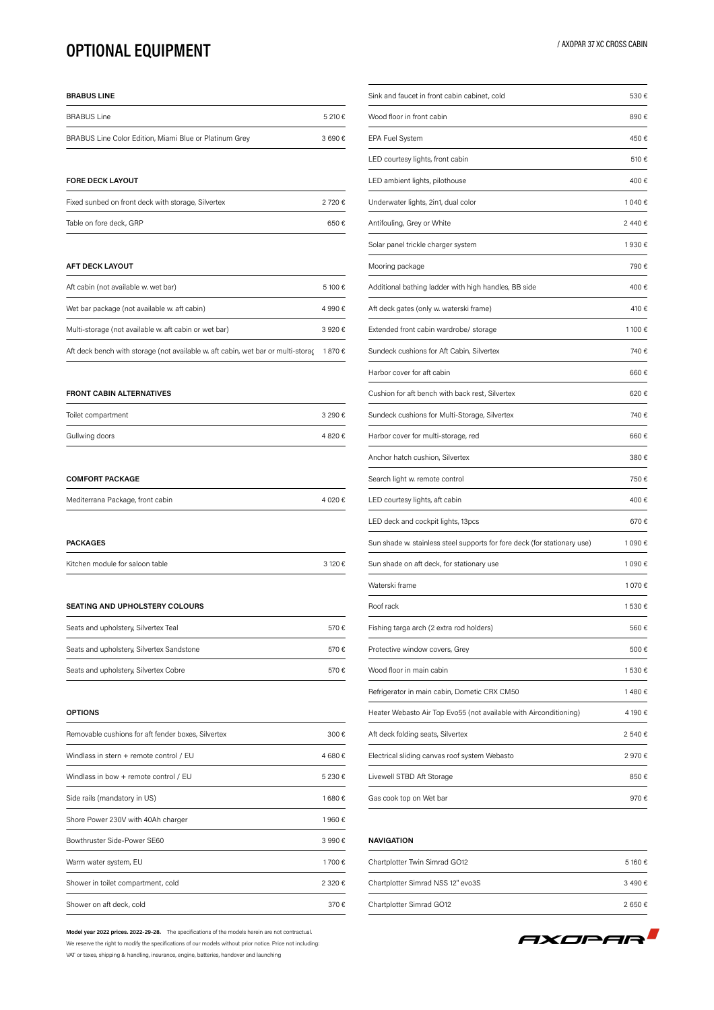# **OPTIONAL EQUIPMENT**

# **BRABUS LINE**

| <b>BRABUS Line</b>                                     | 5210€ |
|--------------------------------------------------------|-------|
| BRABUS Line Color Edition, Miami Blue or Platinum Grey | 3690€ |

# **FORE DECK LAYOUT**

| Fixed sunbed on front deck with storage, Silvertex | 2 720 € |
|----------------------------------------------------|---------|
| Table on fore deck, GRP                            | 650€    |

### **AFT DECK LAYOUT**

| Aft cabin (not available w. wet bar)                                             | 5100€   |
|----------------------------------------------------------------------------------|---------|
| Wet bar package (not available w. aft cabin)                                     | 4 990 € |
| Multi-storage (not available w, aft cabin or wet bar)                            | 3.920 € |
| Aft deck bench with storage (not available w. aft cabin, wet bar or multi-storac | 1870€   |

### **FRONT CABIN ALTERNATIVES**

| Toilet compartment | 3 290 € |
|--------------------|---------|
| Gullwing doors     | 4820€   |

### **COMFORT PACKAGE**

| Mediterrana Package, front cabin | 4 020 € |
|----------------------------------|---------|
|                                  |         |

#### **PACKAGES**

| Kitchen module for saloon table | 3.120€ |
|---------------------------------|--------|
|                                 |        |

#### **SEATING AND UPHOLSTERY COLOURS**

| Seats and upholstery, Silvertex Teal      | 570€ |
|-------------------------------------------|------|
| Seats and upholstery, Silvertex Sandstone | 570€ |
| Seats and upholstery, Silvertex Cobre     | 570€ |

#### **OPTIONS**

| Removable cushions for aft fender boxes, Silvertex | 300€    |
|----------------------------------------------------|---------|
| Windlass in stern + remote control / EU            | 4 680 € |
| Windlass in bow + remote control / EU              | 5 230 € |
| Side rails (mandatory in US)                       | 1680€   |
| Shore Power 230V with 40Ah charger                 | 1960€   |
| Bowthruster Side-Power SE60                        | 3990€   |
| Warm water system, EU                              | 1700€   |
| Shower in toilet compartment, cold                 | 2 320 € |
| Shower on aft deck, cold                           | 370€    |

**Model year 2022 prices. 2022-29-28.** The specifications of the models herein are not contractual. We reserve the right to modify the specifications of our models without prior notice. Price not including: VAT or taxes, shipping & handling, insurance, engine, batteries, handover and launching

| Sink and faucet in front cabin cabinet, cold                             | 530€    |
|--------------------------------------------------------------------------|---------|
| Wood floor in front cabin                                                | 890€    |
| EPA Fuel System                                                          | 450€    |
| LED courtesy lights, front cabin                                         | 510€    |
| LED ambient lights, pilothouse                                           | 400€    |
| Underwater lights, 2in1, dual color                                      | 1 040 € |
| Antifouling, Grey or White                                               | 2440€   |
| Solar panel trickle charger system                                       | 1930€   |
| Mooring package                                                          | 790€    |
| Additional bathing ladder with high handles, BB side                     | 400€    |
| Aft deck gates (only w. waterski frame)                                  | 410€    |
| Extended front cabin wardrobe/ storage                                   | 1100€   |
| Sundeck cushions for Aft Cabin, Silvertex                                | 740€    |
| Harbor cover for aft cabin                                               | 660€    |
| Cushion for aft bench with back rest, Silvertex                          | 620€    |
| Sundeck cushions for Multi-Storage, Silvertex                            | 740€    |
| Harbor cover for multi-storage, red                                      | 660€    |
| Anchor hatch cushion, Silvertex                                          | 380€    |
| Search light w. remote control                                           | 750€    |
| LED courtesy lights, aft cabin                                           | 400€    |
| LED deck and cockpit lights, 13pcs                                       | 670€    |
| Sun shade w. stainless steel supports for fore deck (for stationary use) | 1 090 € |
| Sun shade on aft deck, for stationary use                                | 1 090 € |
| Waterski frame                                                           | 1 070 € |
| Roof rack                                                                | 1530€   |
| Fishing targa arch (2 extra rod holders)                                 | 560€    |
| Protective window covers, Grey                                           | 500€    |
| Wood floor in main cabin                                                 | 1530€   |
| Refrigerator in main cabin, Dometic CRX CM50                             | 1480€   |
| Heater Webasto Air Top Evo55 (not available with Airconditioning)        | 4 190 € |
| Aft deck folding seats, Silvertex                                        | 2 540 € |
| Electrical sliding canvas roof system Webasto                            | 2970€   |
| Livewell STBD Aft Storage                                                | 850€    |
| Gas cook top on Wet bar                                                  | 970€    |
|                                                                          |         |

# **NAVIGATION**

| Chartplotter Twin Simrad GO12     | 5.160 € |
|-----------------------------------|---------|
| Chartplotter Simrad NSS 12" evo3S | 3490€   |
| Chartplotter Simrad GO12          | 2650€   |